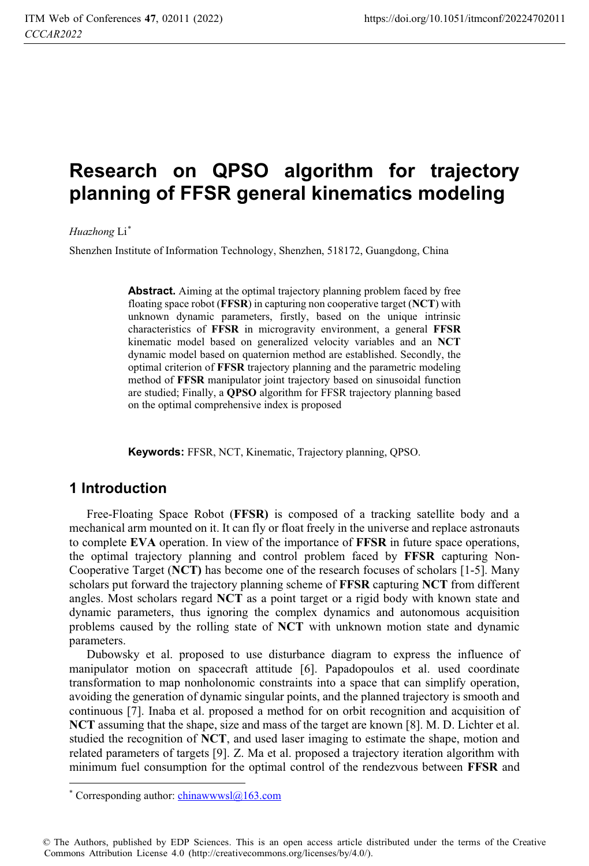# **Research on QPSO algorithm for trajectory planning of FFSR general kinematics modeling**

*Huazhong* Li\*

Shenzhen Institute of Information Technology, Shenzhen, 518172, Guangdong, China

Abstract. Aiming at the optimal trajectory planning problem faced by free floating space robot (**FFSR**) in capturing non cooperative target (**NCT**) with unknown dynamic parameters, firstly, based on the unique intrinsic characteristics of **FFSR** in microgravity environment, a general **FFSR** kinematic model based on generalized velocity variables and an **NCT** dynamic model based on quaternion method are established. Secondly, the optimal criterion of **FFSR** trajectory planning and the parametric modeling method of **FFSR** manipulator joint trajectory based on sinusoidal function are studied; Finally, a **QPSO** algorithm for FFSR trajectory planning based on the optimal comprehensive index is proposed

**Keywords:** FFSR, NCT, Kinematic, Trajectory planning, QPSO.

### **1 Introduction**

 $\overline{a}$ 

Free-Floating Space Robot (**FFSR)** is composed of a tracking satellite body and a mechanical arm mounted on it. It can fly or float freely in the universe and replace astronauts to complete **EVA** operation. In view of the importance of **FFSR** in future space operations, the optimal trajectory planning and control problem faced by **FFSR** capturing Non-Cooperative Target (**NCT)** has become one of the research focuses of scholars [1-5]. Many scholars put forward the trajectory planning scheme of **FFSR** capturing **NCT** from different angles. Most scholars regard **NCT** as a point target or a rigid body with known state and dynamic parameters, thus ignoring the complex dynamics and autonomous acquisition problems caused by the rolling state of **NCT** with unknown motion state and dynamic parameters.

Dubowsky et al. proposed to use disturbance diagram to express the influence of manipulator motion on spacecraft attitude [6]. Papadopoulos et al. used coordinate transformation to map nonholonomic constraints into a space that can simplify operation, avoiding the generation of dynamic singular points, and the planned trajectory is smooth and continuous [7]. Inaba et al. proposed a method for on orbit recognition and acquisition of **NCT** assuming that the shape, size and mass of the target are known [8]. M. D. Lichter et al. studied the recognition of **NCT**, and used laser imaging to estimate the shape, motion and related parameters of targets [9]. Z. Ma et al. proposed a trajectory iteration algorithm with minimum fuel consumption for the optimal control of the rendezvous between **FFSR** and

© The Authors, published by EDP Sciences. This is an open access article distributed under the terms of the Creative Commons Attribution License 4.0 (http://creativecommons.org/licenses/by/4.0/).

<sup>\*</sup> Corresponding author: chinawwwsl@163.com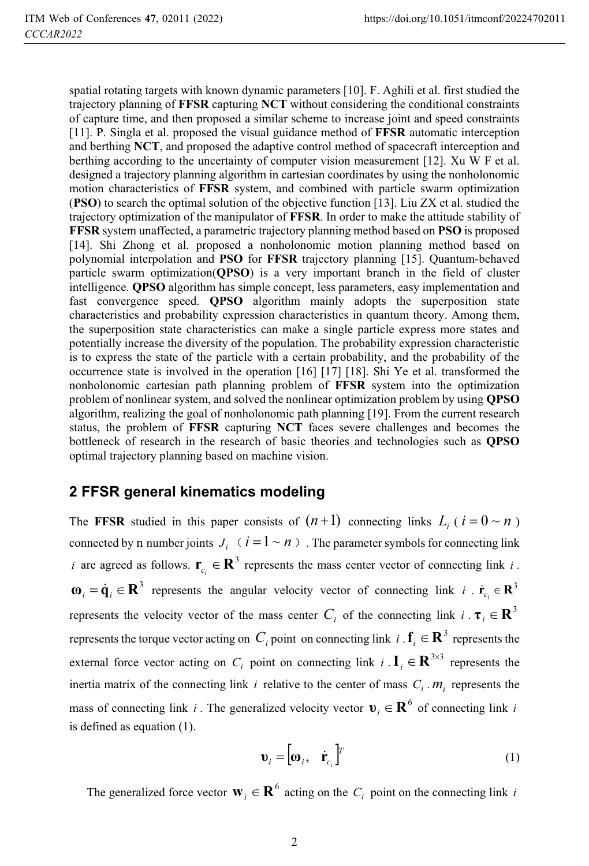spatial rotating targets with known dynamic parameters [10]. F. Aghili et al. first studied the trajectory planning of **FFSR** capturing **NCT** without considering the conditional constraints of capture time, and then proposed a similar scheme to increase joint and speed constraints [11]. P. Singla et al. proposed the visual guidance method of **FFSR** automatic interception and berthing **NCT**, and proposed the adaptive control method of spacecraft interception and berthing according to the uncertainty of computer vision measurement [12]. Xu W F et al. designed a trajectory planning algorithm in cartesian coordinates by using the nonholonomic motion characteristics of **FFSR** system, and combined with particle swarm optimization (**PSO**) to search the optimal solution of the objective function [13]. Liu ZX et al. studied the trajectory optimization of the manipulator of **FFSR**. In order to make the attitude stability of **FFSR** system unaffected, a parametric trajectory planning method based on **PSO** is proposed [14]. Shi Zhong et al. proposed a nonholonomic motion planning method based on polynomial interpolation and **PSO** for **FFSR** trajectory planning [15]. Quantum-behaved particle swarm optimization(**QPSO**) is a very important branch in the field of cluster intelligence. **QPSO** algorithm has simple concept, less parameters, easy implementation and fast convergence speed. **QPSO** algorithm mainly adopts the superposition state characteristics and probability expression characteristics in quantum theory. Among them, the superposition state characteristics can make a single particle express more states and potentially increase the diversity of the population. The probability expression characteristic is to express the state of the particle with a certain probability, and the probability of the occurrence state is involved in the operation [16] [17] [18]. Shi Ye et al. transformed the nonholonomic cartesian path planning problem of **FFSR** system into the optimization problem of nonlinear system, and solved the nonlinear optimization problem by using **QPSO** algorithm, realizing the goal of nonholonomic path planning [19]. From the current research status, the problem of **FFSR** capturing **NCT** faces severe challenges and becomes the bottleneck of research in the research of basic theories and technologies such as **QPSO** optimal trajectory planning based on machine vision.

### **2 FFSR general kinematics modeling**

The **FFSR** studied in this paper consists of  $(n+1)$  connecting links  $L_i$  ( $i = 0 \sim n$ ) connected by n number joints  $J_i$   $(i = 1 \sim n)$ . The parameter symbols for connecting link *i* are agreed as follows.  $\mathbf{r}_{c_i} \in \mathbb{R}^3$  represents the mass center vector of connecting link *i*.  $\mathbf{r}_i = \dot{\mathbf{q}}_i \in \mathbb{R}^3$  represents the angular velocity vector of connecting link  $i \cdot \dot{\mathbf{r}}_{c_i} \in \mathbb{R}^3$ represents the velocity vector of the mass center  $C_i$  of the connecting link  $i \cdot \tau_i \in \mathbb{R}^3$ represents the torque vector acting on *C<sub>i</sub>* point on connecting link *i* .  $f_i \in \mathbb{R}^3$  represents the external force vector acting on  $C_i$  point on connecting link  $i \cdot \mathbf{I}_i \in \mathbf{R}^{3 \times 3}$  represents the inertia matrix of the connecting link  $i$  relative to the center of mass  $C_i$ .  $m_i$  represents the mass of connecting link *i*. The generalized velocity vector  $\mathbf{v}_i \in \mathbf{R}^6$  of connecting link *i* is defined as equation (1).

$$
\mathbf{v}_i = \begin{bmatrix} \mathbf{\omega}_i, & \dot{\mathbf{r}}_{c_i} \end{bmatrix}^T
$$
 (1)

The generalized force vector  $\mathbf{w}_i \in \mathbf{R}^6$  acting on the *C<sub>i</sub>* point on the connecting link *i*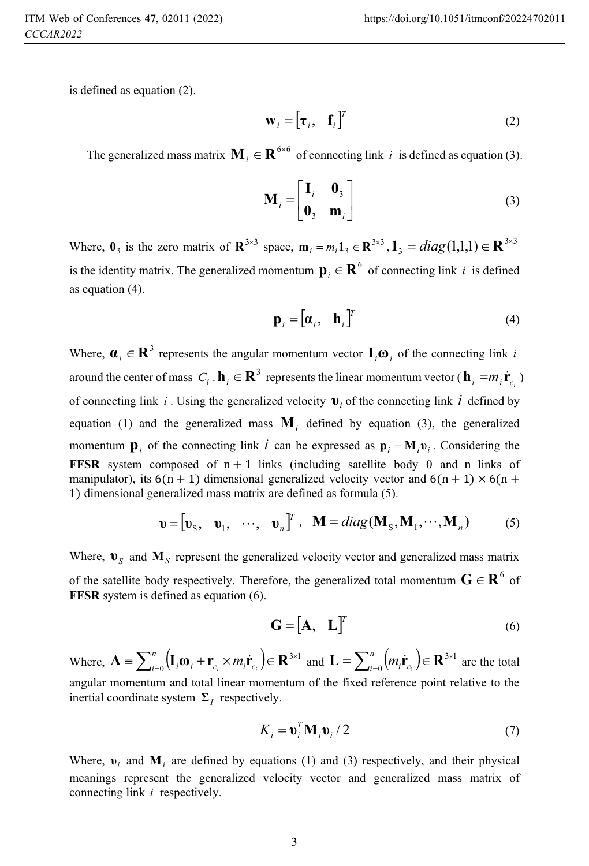is defined as equation (2).

$$
\mathbf{W}_i = \begin{bmatrix} \mathbf{\tau}_i, & \mathbf{f}_i \end{bmatrix}^T
$$
 (2)

The generalized mass matrix  $M_i \in \mathbb{R}^{6 \times 6}$  of connecting link *i* is defined as equation (3).

$$
\mathbf{M}_{i} = \begin{bmatrix} \mathbf{I}_{i} & \mathbf{0}_{3} \\ \mathbf{0}_{3} & \mathbf{m}_{i} \end{bmatrix}
$$
 (3)

Where,  $\mathbf{0}_3$  is the zero matrix of  $\mathbf{R}^{3\times 3}$  space,  $\mathbf{m}_i = m_i \mathbf{1}_3 \in \mathbf{R}^{3\times 3}$  $\mathbf{m}_i = m_i \mathbf{1}_3 \in \mathbb{R}^{3 \times 3}, \mathbf{1}_3 = diag(1,1,1) \in \mathbb{R}^{3 \times 3}$ is the identity matrix. The generalized momentum  $\mathbf{p}_i \in \mathbf{R}^6$  of connecting link *i* is defined as equation (4).

$$
\mathbf{p}_i = [\mathbf{\alpha}_i, \quad \mathbf{h}_i]^T
$$
 (4)

Where,  $\mathbf{a}_i \in \mathbf{R}^3$  represents the angular momentum vector  $\mathbf{I}_i \mathbf{\omega}_i$  of the connecting link *i* around the center of mass  $C_i$ .  $\mathbf{h}_i \in \mathbb{R}^3$  represents the linear momentum vector ( $\mathbf{h}_i = m_i \dot{\mathbf{r}}_{c_i}$ ) of connecting link *i* . Using the generalized velocity  $\mathbf{v}_i$  of the connecting link *i* defined by equation (1) and the generalized mass  $M_i$  defined by equation (3), the generalized momentum  $\mathbf{p}_i$  of the connecting link *i* can be expressed as  $\mathbf{p}_i = \mathbf{M}_i \mathbf{v}_i$ . Considering the **FFSR** system composed of  $n+1$  links (including satellite body 0 and n links of manipulator), its  $6(n + 1)$  dimensional generalized velocity vector and  $6(n + 1) \times 6(n + 1)$ 1) dimensional generalized mass matrix are defined as formula (5).

$$
\mathbf{v} = [\mathbf{v}_\text{S}, \quad \mathbf{v}_1, \quad \cdots, \quad \mathbf{v}_n]^T, \quad \mathbf{M} = diag(\mathbf{M}_\text{S}, \mathbf{M}_1, \cdots, \mathbf{M}_n) \tag{5}
$$

Where,  $\mathbf{v}_s$  and  $\mathbf{M}_s$  represent the generalized velocity vector and generalized mass matrix of the satellite body respectively. Therefore, the generalized total momentum  $G \in \mathbb{R}^6$  of **FFSR** system is defined as equation (6).

$$
\mathbf{G} = [\mathbf{A}, \quad \mathbf{L}]^{T} \tag{6}
$$

Where,  $\mathbf{A} \equiv \sum_{i=0}^{n} (\mathbf{I}_{i} \mathbf{\omega}_{i} + \mathbf{r}_{c_{i}} \times m_{i} \dot{\mathbf{r}}_{c_{i}}) \in \mathbf{R}^{3 \times 1}$  $\mathbf{A} \equiv \sum_{i=0}^{n} \left( \mathbf{I}_{i} \mathbf{\omega}_{i} + \mathbf{r}_{c_{i}} \times m_{i} \dot{\mathbf{r}}_{c_{i}} \right) \in \mathbf{R}^{3 \times 1}$  and  $\mathbf{L} = \sum_{i=0}^{n} \left( m_{i} \dot{\mathbf{r}}_{c_{i}} \right) \in \mathbf{R}^{3 \times 1}$  $\mathbf{L} = \sum_{i=0}^{n} (m_i \dot{\mathbf{r}}_{c_i}) \in \mathbf{R}^{3 \times 1}$  are the total angular momentum and total linear momentum of the fixed reference point relative to the inertial coordinate system  $\Sigma_I$  respectively.

$$
K_i = \mathbf{v}_i^T \mathbf{M}_i \mathbf{v}_i / 2
$$
 (7)

Where,  $v_i$  and  $M_i$  are defined by equations (1) and (3) respectively, and their physical meanings represent the generalized velocity vector and generalized mass matrix of connecting link *i* respectively.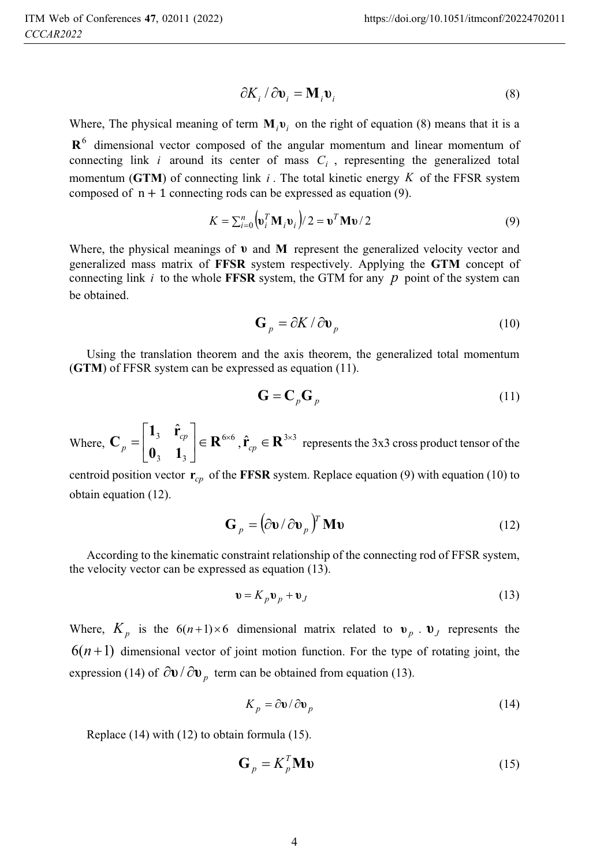$$
\partial K_i / \partial \mathbf{v}_i = \mathbf{M}_i \mathbf{v}_i
$$
 (8)

Where, The physical meaning of term  $\mathbf{M}_i \mathbf{v}_i$  on the right of equation (8) means that it is a  $\mathbb{R}^6$  dimensional vector composed of the angular momentum and linear momentum of connecting link *i* around its center of mass  $C$  representing the generalized total connecting link  $i$  around its center of mass  $C_i$ , representing the generalized total momentum (**GTM**) of connecting link *<sup>i</sup>* . The total kinetic energy *<sup>K</sup>* of the FFSR system composed of  $n+1$  connecting rods can be expressed as equation (9).

$$
K = \sum_{i=0}^{n} \left( \mathbf{v}_i^T \mathbf{M}_i \mathbf{v}_i \right) / 2 = \mathbf{v}^T \mathbf{M} \mathbf{v} / 2
$$
 (9)

Where, the physical meanings of  $\bf{v}$  and  $\bf{M}$  represent the generalized velocity vector and generalized mass matrix of **FFSR** system respectively. Applying the **GTM** concept of connecting link  $i$  to the whole **FFSR** system, the GTM for any  $p$  point of the system can be obtained.

$$
\mathbf{G}_p = \partial K / \partial \mathbf{v}_p \tag{10}
$$

Using the translation theorem and the axis theorem, the generalized total momentum (**GTM**) of FFSR system can be expressed as equation (11).

$$
\mathbf{G} = \mathbf{C}_p \mathbf{G}_p \tag{11}
$$

Where,  $C_p = \begin{vmatrix} 1 & 3 \\ 0 & 1 \end{vmatrix} \in \mathbb{R}^{6 \times 6}$  $3^{\prime}$   $\phantom{1}$   $\phantom{1}$ 3  $\hat{\mathbf{r}}_{cp}$   $\in \mathbb{R}^{6 \times 3}$  $\overline{\phantom{a}}$ 1  $\begin{bmatrix} 3 & cp \\ 0 & 1 \end{bmatrix}$  $=\begin{bmatrix} \mathbf{1}_3 & \hat{\mathbf{r}}_{cp}\ \mathbf{0}_3 & \mathbf{1}_3 \end{bmatrix} \in \mathbf{R}$  $\frac{1}{\sqrt{2}}$  $\mathbf{C}_p = \begin{bmatrix} \mathbf{I}_3 & \mathbf{I}_{cp} \\ \mathbf{0}_3 & \mathbf{1}_3 \end{bmatrix} \in \mathbf{R}^{6 \times 6}$ ,  $\hat{\mathbf{r}}_{cp} \in \mathbf{R}^{3 \times 3}$  represents the 3x3 cross product tensor of the

centroid position vector  $r_{cp}$  of the **FFSR** system. Replace equation (9) with equation (10) to obtain equation (12).

$$
\mathbf{G}_p = (\partial \mathbf{v} / \partial \mathbf{v}_p)^T \mathbf{M} \mathbf{v}
$$
 (12)

According to the kinematic constraint relationship of the connecting rod of FFSR system, the velocity vector can be expressed as equation (13).

$$
\mathbf{v} = K_p \mathbf{v}_p + \mathbf{v}_J \tag{13}
$$

Where,  $K_p$  is the  $6(n+1)\times 6$  dimensional matrix related to  $v_p \cdot v_j$  represents the  $6(n+1)$  dimensional vector of joint motion function. For the type of rotating joint, the expression (14) of  $\partial v / \partial v_n$  term can be obtained from equation (13).

$$
K_p = \partial \mathbf{v} / \partial \mathbf{v}_p \tag{14}
$$

Replace (14) with (12) to obtain formula (15).

$$
\mathbf{G}_p = K_p^T \mathbf{M} \mathbf{v} \tag{15}
$$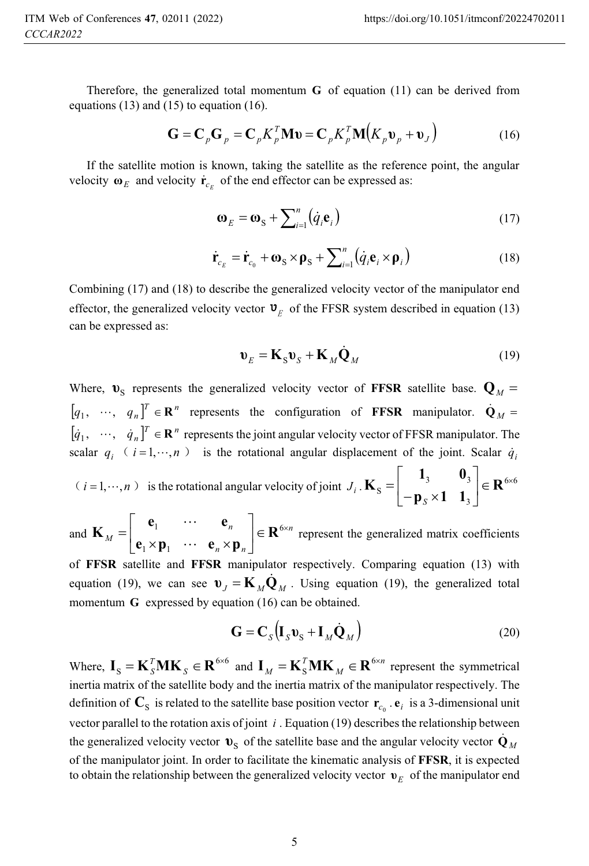3

Therefore, the generalized total momentum  $\bf{G}$  of equation (11) can be derived from equations  $(13)$  and  $(15)$  to equation  $(16)$ .

$$
\mathbf{G} = \mathbf{C}_p \mathbf{G}_p = \mathbf{C}_p K_p^T \mathbf{M} \mathbf{v} = \mathbf{C}_p K_p^T \mathbf{M} (K_p \mathbf{v}_p + \mathbf{v}_j)
$$
(16)

If the satellite motion is known, taking the satellite as the reference point, the angular velocity  $\boldsymbol{\omega}_E$  and velocity  $\boldsymbol{\dot{r}}_{c_E}$  of the end effector can be expressed as:

$$
\mathbf{\omega}_E = \mathbf{\omega}_S + \sum_{i=1}^n (\dot{q}_i \mathbf{e}_i)
$$
 (17)

$$
\dot{\mathbf{r}}_{c_E} = \dot{\mathbf{r}}_{c_0} + \mathbf{\omega}_S \times \mathbf{\rho}_S + \sum_{i=1}^n (\dot{q}_i \mathbf{e}_i \times \mathbf{\rho}_i)
$$
(18)

Combining (17) and (18) to describe the generalized velocity vector of the manipulator end effector, the generalized velocity vector  $\mathbf{v}_F$  of the FFSR system described in equation (13) can be expressed as:

$$
\mathbf{v}_E = \mathbf{K}_S \mathbf{v}_S + \mathbf{K}_M \dot{\mathbf{Q}}_M \tag{19}
$$

Where,  $\mathbf{v}_s$  represents the generalized velocity vector of **FFSR** satellite base.  $\mathbf{Q}_M$  =  $\left[q_1, \cdots, q_n\right]^T \in \mathbb{R}^n$  represents the configuration of **FFSR** manipulator.  $\dot{\mathbf{Q}}_M = \dot{\mathbf{Q}}_M$  $\begin{bmatrix} \dot{q}_1, & \cdots, & \dot{q}_n \end{bmatrix}^T \in \mathbf{R}^n$  represents the joint angular velocity vector of FFSR manipulator. The scalar  $q_i$  (  $i = 1, \dots, n$  ) is the rotational angular displacement of the joint. Scalar  $\dot{q}_i$  $(i=1,\dots,n)$  is the rotational angular velocity of joint  $J_i$ .  $\mathbf{K}_s = \begin{bmatrix} 1 & 3 & 0 \\ 0 & 0 & 1 \end{bmatrix} \in \mathbf{R}^{6 \times 6}$  $3 \mathbf{v}_3$ S  $\Big|\in \mathbf{R}^{6\times}$  $\overline{\phantom{a}}$ ן  $\begin{bmatrix} 3 & 3 \\ 1 & 4 \end{bmatrix}$  $\mathsf{L}$ Γ  $=\begin{vmatrix} \mathbf{1}_3 & \mathbf{0}_3 \\ -\mathbf{p}_s \times \mathbf{1} & \mathbf{1}_3 \end{vmatrix} \in \mathbf{R}$  $\left[-\mathbf{p}_s\right]$ 

**p 1 1** and  $\mathbf{K}_M = \begin{vmatrix} 1 & \mathbf{K}_m \\ 0 & \mathbf{K}_m \end{vmatrix} \in \mathbf{R}^{6 \times m}$ *n n n M*  $\Big|\in \mathbf{R}^{6\times}$  $\overline{\phantom{a}}$ ן  $\begin{bmatrix} 1 & \cdots & n \end{bmatrix}$ L Г  $=\begin{bmatrix} \mathbf{c}_1 & \cdots & \mathbf{c}_n \\ \mathbf{e}_1 \times \mathbf{p}_1 & \cdots & \mathbf{e}_n \times \mathbf{p}_n \end{bmatrix} \in \mathbf{R}^6$ 1 **e p e p e e**  $\begin{array}{c|c} \mathbf{M} & \mathbf{e}_1 \times \mathbf{p}_1 & \cdots \end{array}$  $\begin{bmatrix} \mathbf{e}_n \\ \mathbf{e}_n \end{bmatrix} \in \mathbb{R}^{6 \times n}$  represent the generalized matrix coefficients

of **FFSR** satellite and **FFSR** manipulator respectively. Comparing equation (13) with equation (19), we can see  $\mathbf{v}_J = \mathbf{K}_M \dot{\mathbf{Q}}_M$ . Using equation (19), the generalized total momentum  $\mathbf{C}$  currenceed by equation (16) can be obtained. momentum **G** expressed by equation (16) can be obtained.

$$
\mathbf{G} = \mathbf{C}_S \left( \mathbf{I}_S \mathbf{v}_S + \mathbf{I}_M \dot{\mathbf{Q}}_M \right)
$$
 (20)

Where,  $\mathbf{I}_S = \mathbf{K}_S^T \mathbf{M} \mathbf{K}_S \in \mathbf{R}^{6 \times 6}$  $\mathbf{I}_\text{S} = \mathbf{K}_\text{S}^T \mathbf{M} \mathbf{K}_\text{S} \in \mathbf{R}^{6 \times 6}$  and  $\mathbf{I}_M = \mathbf{K}_\text{S}^T \mathbf{M} \mathbf{K}_M \in \mathbf{R}^{6 \times n}$ *T*  $\mathbf{I}_M = \mathbf{K}_S^T \mathbf{M} \mathbf{K}_M \in \mathbf{R}^{6 \times n}$  represent the symmetrical the inertial protive of the manipulator respectively. The inertia matrix of the satellite body and the inertia matrix of the manipulator respectively. The definition of  $\mathbf{C}_S$  is related to the satellite base position vector  $\mathbf{r}_{c_0}$ .  $\mathbf{e}_i$  is a 3-dimensional unit vector parallel to the rotation axis of joint *i* . Equation (19) describes the relationship between the generalized velocity vector  $\mathbf{v}_s$  of the satellite base and the angular velocity vector  $\dot{\mathbf{Q}}_M$ <br>of the manipulator joint. In order to focilitate the kinematic anglysis of **EESP** it is expected of the manipulator joint. In order to facilitate the kinematic analysis of **FFSR**, it is expected to obtain the relationship between the generalized velocity vector  $\mathbf{v}_E$  of the manipulator end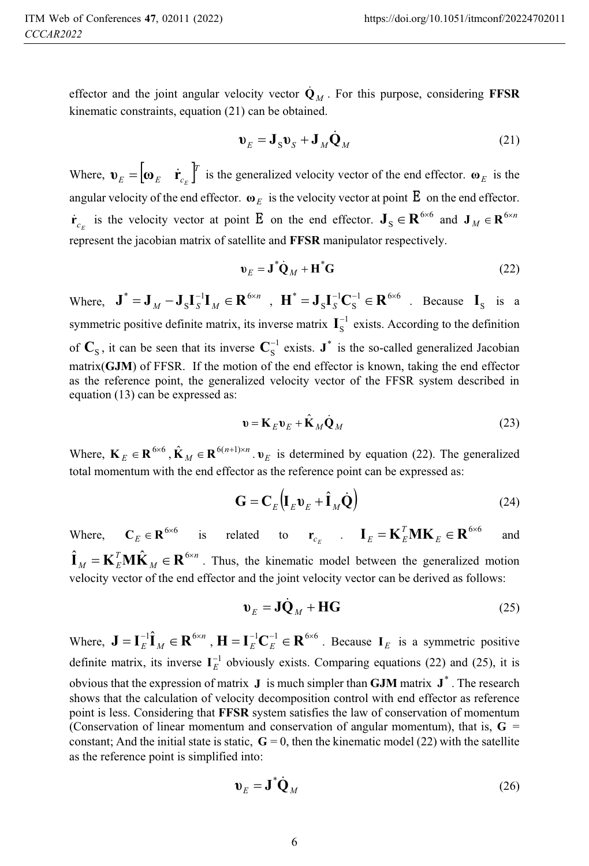effector and the joint angular velocity vector  $\dot{\mathbf{Q}}_M$ . For this purpose, considering **FFSR** kinematic constraints, equation (21) can be obtained.

$$
\mathbf{v}_E = \mathbf{J}_S \mathbf{v}_S + \mathbf{J}_M \dot{\mathbf{Q}}_M \tag{21}
$$

Where,  $\mathbf{v}_E = \begin{bmatrix} \mathbf{v}_E & \mathbf{r}_C \end{bmatrix}^T$  is the generalized velocity vector of the end effector.  $\mathbf{v}_E$  is the angular velocity of the end effector.  $\mathbf{\omega}_E$  is the velocity vector at point  $\mathbf{E}$  on the end effector.  $\dot{\mathbf{r}}_{c_E}$  is the velocity vector at point **E** on the end effector.  $\mathbf{J}_S \in \mathbf{R}^{6 \times 6}$  $\mathbf{J}_\text{S} \in \mathbf{R}^{6 \times 6}$  and  $\mathbf{J}_M \in \mathbf{R}^{6 \times n}$  $\mathbf{J}_M \in \mathbf{R}^{6 \times 6}$ represent the jacobian matrix of satellite and **FFSR** manipulator respectively.

$$
\mathbf{v}_E = \mathbf{J}^* \dot{\mathbf{Q}}_M + \mathbf{H}^* \mathbf{G}
$$
 (22)

Where,  $\mathbf{J}^* = \mathbf{J}_M - \mathbf{J}_S \mathbf{I}_S^{-1} \mathbf{I}_M \in \mathbf{R}^{6 \times n}$  $J^* = J_M - J_S I_S^{-1} I_M \in \mathbf{R}^{6 \times n}$ ,  $\mathbf{H}^* = J_S I_S^{-1} \mathbf{C}_S^{-1} \in \mathbf{R}^{6 \times 6}$ 1 S  $\mathbf{H}^* = \mathbf{J}_S \mathbf{I}_S^{-1} \mathbf{C}_S^{-1} \in \mathbf{R}^{6 \times 6}$  . Because  $\mathbf{I}_S$  is a symmetric positive definite matrix, its inverse matrix  $\mathbf{I}_{\text{S}}^{-1}$  $\mathbf{I}_{\mathrm{S}}^{-1}$  exists. According to the definition of  $\mathbf{C}_{\text{S}}$ , it can be seen that its inverse  $\mathbf{C}_{\text{S}}^{-1}$  $\mathbf{C}_\text{S}^{-1}$  exists.  $\mathbf{J}^*$  is the so-called generalized Jacobian of the and offertary is known taking the and offertary matrix(**GJM**) of FFSR. If the motion of the end effector is known, taking the end effector as the reference point, the generalized velocity vector of the FFSR system described in equation (13) can be expressed as:

$$
\mathbf{v} = \mathbf{K}_E \mathbf{v}_E + \hat{\mathbf{K}}_M \dot{\mathbf{Q}}_M
$$
 (23)

Where,  $\mathbf{K}_E \in \mathbf{R}^{6 \times 6}$ ,  $\hat{\mathbf{K}}_M \in \mathbf{R}^{6(n+1) \times n}$  $\mathbf{\hat{K}}_M \in \mathbf{R}^{6(n+1)\times n}$ .  $\mathbf{v}_E$  is determined by equation (22). The generalized total momentum with the end effector as the reference point can be expressed as:

$$
\mathbf{G} = \mathbf{C}_E \left( \mathbf{I}_E \mathbf{v}_E + \hat{\mathbf{I}}_M \dot{\mathbf{Q}} \right)
$$
 (24)

Where,  $C_E \in \mathbb{R}^{6 \times 6}$  is related to  $\mathbf{r}_{c_E}$  .  $\mathbf{I}_E = \mathbf{K}_E^T \mathbf{M} \mathbf{K}_E \in \mathbb{R}^{6 \times 6}$  and *n M T*  $\hat{\mathbf{H}}_M = \mathbf{K}_E^T \mathbf{M} \hat{\mathbf{K}}_M \in \mathbf{R}^{6 \times n}$ . Thus, the kinematic model between the generalized motion velocity vector of the end effector and the joint velocity vector can be derived as follows:  $I_M$   $I_{\text{L}}$   $I_{\text{L}}$   $I_{\text{L}}$   $I_{\text{L}}$   $I_{\text{L}}$   $I_{\text{L}}$  and  $I_{\text{L}}$  and  $I_{\text{L}}$  are derived as follows:

$$
\mathbf{v}_E = \mathbf{J}\dot{\mathbf{Q}}_M + \mathbf{H}\mathbf{G}
$$
 (25)

Where,  $\mathbf{J} = \mathbf{I}_E^{-1} \hat{\mathbf{I}}_M \in \mathbf{R}^{6 \times n}$ ,  $\mathbf{H} = \mathbf{I}_E^{-1} \mathbf{C}_E^{-1} \in \mathbf{R}^{6 \times 6}$ . Because  $\mathbf{I}_E$  is a symmetric positive definite matrix, its inverse  $I_E^{-1}$  obviously exists. Comparing equations (22) and (25), it is obvious that the expression of matrix  $\bf{J}$  is much simpler than **GJM** matrix  $\bf{J}^*$ . The research shows that the calculation of velocity decomposition control with end effector as reference point is less. Considering that **FFSR** system satisfies the law of conservation of momentum (Conservation of linear momentum and conservation of angular momentum), that is,  $\bf{G}$  = constant; And the initial state is static,  $\mathbf{G} = 0$ , then the kinematic model (22) with the satellite as the reference point is simplified into:

$$
\mathbf{v}_E = \mathbf{J}^* \dot{\mathbf{Q}}_M \tag{26}
$$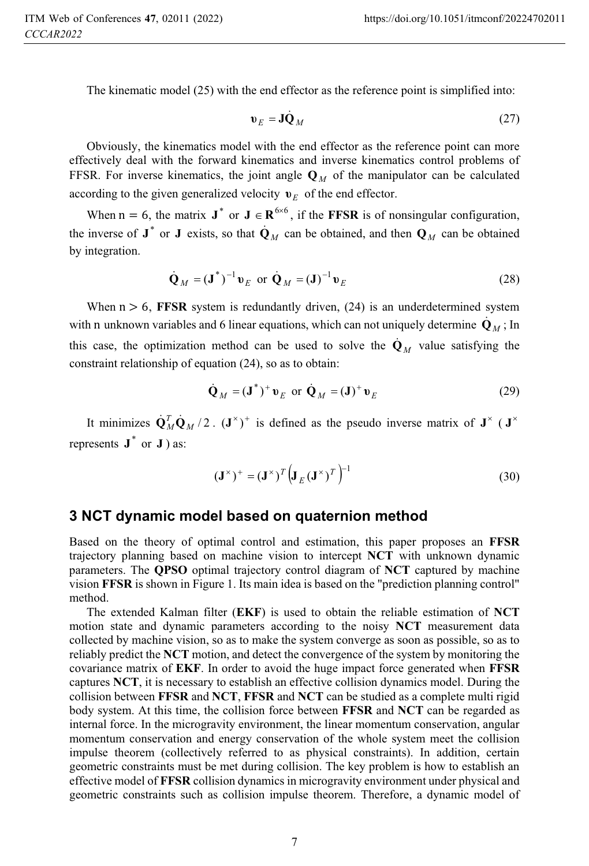The kinematic model (25) with the end effector as the reference point is simplified into:

$$
\mathbf{v}_E = \mathbf{J} \dot{\mathbf{Q}}_M \tag{27}
$$

Obviously, the kinematics model with the end effector as the reference point can more effectively deal with the forward kinematics and inverse kinematics control problems of FFSR. For inverse kinematics, the joint angle  $\mathbf{Q}_M$  of the manipulator can be calculated according to the given generalized velocity  $v_E$  of the end effector.

When  $n = 6$ , the matrix  $J^*$  or  $J \in \mathbb{R}^{6 \times 6}$ , if the **FFSR** is of nonsingular configuration, the inverse of  $J^*$  or  $J$  exists, so that  $\dot{Q}_M$  can be obtained, and then  $Q_M$  can be obtained by integration.

$$
\dot{\mathbf{Q}}_M = (\mathbf{J}^*)^{-1} \mathbf{v}_E \text{ or } \dot{\mathbf{Q}}_M = (\mathbf{J})^{-1} \mathbf{v}_E
$$
 (28)

When  $n > 6$ , **FFSR** system is redundantly driven, (24) is an underdetermined system with n unknown variables and 6 linear equations, which can not uniquely determine  $\dot{\mathbf{Q}}_M$ ; In this case, the optimization method can be used to solve the  $\dot{\mathbf{Q}}_M$  value satisfying the constraint relationship of equation (24), so as to obtain:

$$
\dot{\mathbf{Q}}_M = (\mathbf{J}^*)^+ \mathbf{v}_E \text{ or } \dot{\mathbf{Q}}_M = (\mathbf{J})^+ \mathbf{v}_E
$$
 (29)

It minimizes  $\mathbf{Q}_M^T \mathbf{Q}_M / 2$ .  $(\mathbf{J}^*)^+$  is defined as the pseudo inverse matrix of  $\mathbf{J}^*$  ( $\mathbf{J}^*$ represents  $J^*$  or  $J$  ) as:

$$
\left(\mathbf{J}^{\times}\right)^{+} = \left(\mathbf{J}^{\times}\right)^{T} \left(\mathbf{J}_{E}\left(\mathbf{J}^{\times}\right)^{T}\right)^{-1}
$$
\n(30)

### **3 NCT dynamic model based on quaternion method**

Based on the theory of optimal control and estimation, this paper proposes an **FFSR** trajectory planning based on machine vision to intercept **NCT** with unknown dynamic parameters. The **QPSO** optimal trajectory control diagram of **NCT** captured by machine vision **FFSR** is shown in Figure 1. Its main idea is based on the "prediction planning control" method.

The extended Kalman filter (**EKF**) is used to obtain the reliable estimation of **NCT** motion state and dynamic parameters according to the noisy **NCT** measurement data collected by machine vision, so as to make the system converge as soon as possible, so as to reliably predict the **NCT** motion, and detect the convergence of the system by monitoring the covariance matrix of **EKF**. In order to avoid the huge impact force generated when **FFSR** captures **NCT**, it is necessary to establish an effective collision dynamics model. During the collision between **FFSR** and **NCT**, **FFSR** and **NCT** can be studied as a complete multi rigid body system. At this time, the collision force between **FFSR** and **NCT** can be regarded as internal force. In the microgravity environment, the linear momentum conservation, angular momentum conservation and energy conservation of the whole system meet the collision impulse theorem (collectively referred to as physical constraints). In addition, certain geometric constraints must be met during collision. The key problem is how to establish an effective model of **FFSR** collision dynamics in microgravity environment under physical and geometric constraints such as collision impulse theorem. Therefore, a dynamic model of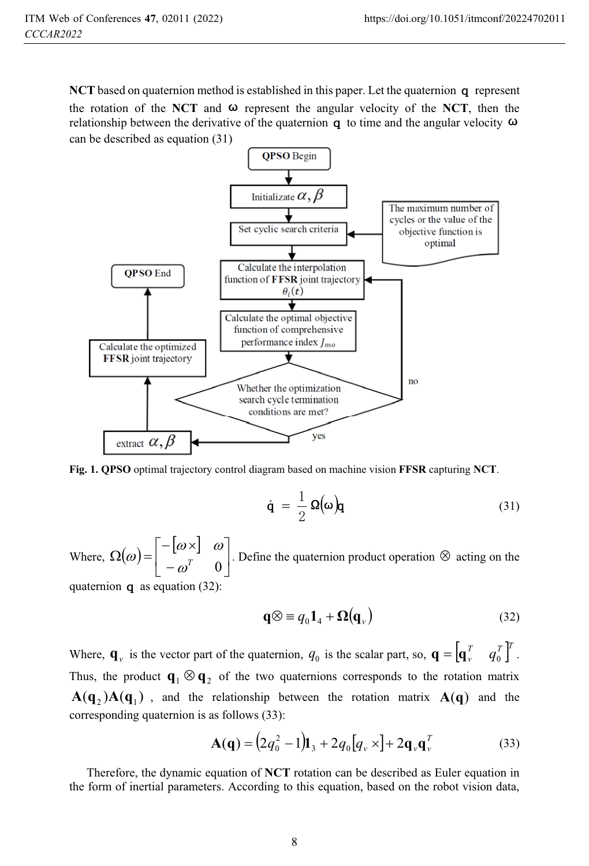**NCT** based on quaternion method is established in this paper. Let the quaternion  $\sigma$  represent the rotation of the **NCT** and  $\omega$  represent the angular velocity of the **NCT**, then the relationship between the derivative of the quaternion  $q$  to time and the angular velocity  $\omega$ can be described as equation (31)



**Fig. 1. QPSO** optimal trajectory control diagram based on machine vision **FFSR** capturing **NCT**.

$$
\dot{\mathbf{q}} = \frac{1}{2} \Omega(\omega) \mathbf{q} \tag{31}
$$

Where,  $\Omega(\omega) = \begin{bmatrix} -[\omega \times] & \omega \\ \tau & \omega \end{bmatrix}$  $\overline{\phantom{a}}$ ן L Г  $\overline{a}$  $\mathsf{I}_{\omega}$   $\times$  $\Omega(\omega) = \begin{vmatrix} -\lfloor \omega \times \rfloor & \omega \\ -\omega^T & 0 \end{vmatrix}$ . Define the quaternion product operation  $\otimes$  acting on the quaternion  $\alpha$  as equation (32):

$$
\mathbf{q} \otimes \equiv q_0 \mathbf{1}_4 + \mathbf{\Omega}(\mathbf{q}_v)
$$
 (32)

Where,  $\mathbf{q}_v$  is the vector part of the quaternion,  $q_0$  is the scalar part, so,  $\mathbf{q} = \begin{bmatrix} \mathbf{q}_v^T & q_0^T \end{bmatrix}^T$ . Thus, the product  $\mathbf{q}_1 \otimes \mathbf{q}_2$  of the two quaternions corresponds to the rotation matrix  $A(q_2)A(q_1)$ , and the relationship between the rotation matrix  $A(q)$  and the corresponding quaternion is as follows (33):

$$
\mathbf{A}(\mathbf{q}) = (2q_0^2 - 1)\mathbf{I}_3 + 2q_0[q_v \times ] + 2\mathbf{q}_v \mathbf{q}_v^T
$$
 (33)

Therefore, the dynamic equation of **NCT** rotation can be described as Euler equation in the form of inertial parameters. According to this equation, based on the robot vision data,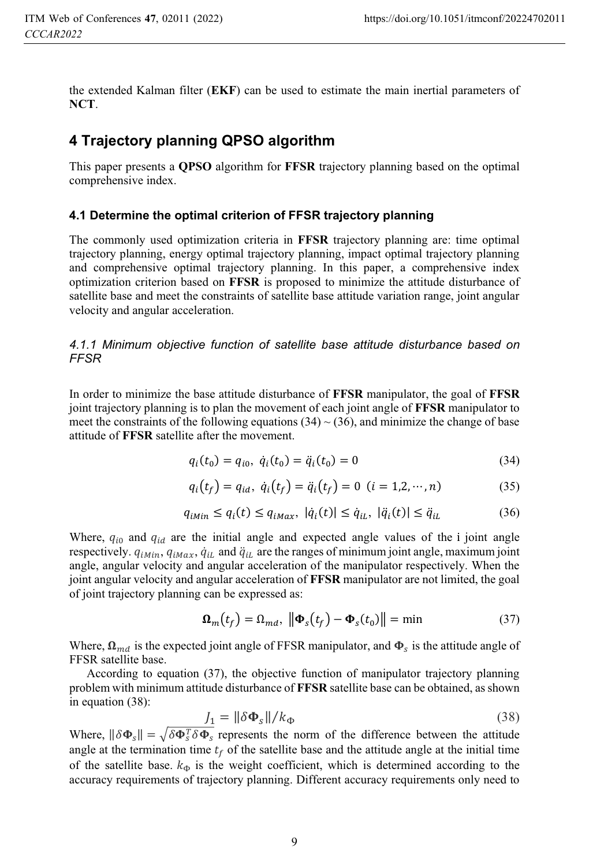the extended Kalman filter (**EKF**) can be used to estimate the main inertial parameters of **NCT**.

### **4 Trajectory planning QPSO algorithm**

This paper presents a **QPSO** algorithm for **FFSR** trajectory planning based on the optimal comprehensive index.

### **4.1 Determine the optimal criterion of FFSR trajectory planning**

The commonly used optimization criteria in **FFSR** trajectory planning are: time optimal trajectory planning, energy optimal trajectory planning, impact optimal trajectory planning and comprehensive optimal trajectory planning. In this paper, a comprehensive index optimization criterion based on **FFSR** is proposed to minimize the attitude disturbance of satellite base and meet the constraints of satellite base attitude variation range, joint angular velocity and angular acceleration.

*4.1.1 Minimum objective function of satellite base attitude disturbance based on FFSR* 

In order to minimize the base attitude disturbance of **FFSR** manipulator, the goal of **FFSR** joint trajectory planning is to plan the movement of each joint angle of **FFSR** manipulator to meet the constraints of the following equations  $(34) \sim (36)$ , and minimize the change of base attitude of **FFSR** satellite after the movement.

$$
q_i(t_0) = q_{i0}, \ \dot{q}_i(t_0) = \ddot{q}_i(t_0) = 0 \tag{34}
$$

$$
q_i(t_f) = q_{id}, \ \dot{q}_i(t_f) = \ddot{q}_i(t_f) = 0 \ \ (i = 1, 2, \cdots, n) \tag{35}
$$

$$
q_{iMin} \le q_i(t) \le q_{iMax}, \, |\dot{q}_i(t)| \le \dot{q}_{iL}, \, |\ddot{q}_i(t)| \le \ddot{q}_{iL} \tag{36}
$$

Where,  $q_{i0}$  and  $q_{id}$  are the initial angle and expected angle values of the i joint angle respectively.  $q_{iMin}$ ,  $q_{iMax}$ ,  $\dot{q}_{iL}$  and  $\ddot{q}_{iL}$  are the ranges of minimum joint angle, maximum joint  $\overline{a}$  $\ddot{\phantom{0}}$ angle, angular velocity and angular acceleration of the manipulator respectively. When the joint angular velocity and angular acceleration of **FFSR** manipulator are not limited, the goal of joint trajectory planning can be expressed as:

$$
\mathbf{\Omega}_m(t_f) = \Omega_{md}, \; \left\| \mathbf{\Phi}_s(t_f) - \mathbf{\Phi}_s(t_0) \right\| = \min \tag{37}
$$

Where,  $\Omega_{md}$  is the expected joint angle of FFSR manipulator, and  $\Phi_s$  is the attitude angle of FFSR satellite base.

According to equation (37), the objective function of manipulator trajectory planning problem with minimum attitude disturbance of **FFSR** satellite base can be obtained, as shown in equation (38):

$$
J_1 = \|\delta \Phi_s\|/k_{\Phi} \tag{38}
$$

Where,  $\|\delta \Phi_{s}\| = \sqrt{\delta \Phi_{s}^{T} \delta \Phi_{s}}$  represents the norm of the difference between the attitude angle at the termination time  $t_f$  of the satellite base and the attitude angle at the initial time of the satellite base.  $k_{\Phi}$  is the weight coefficient, which is determined according to the accuracy requirements of trajectory planning. Different accuracy requirements only need to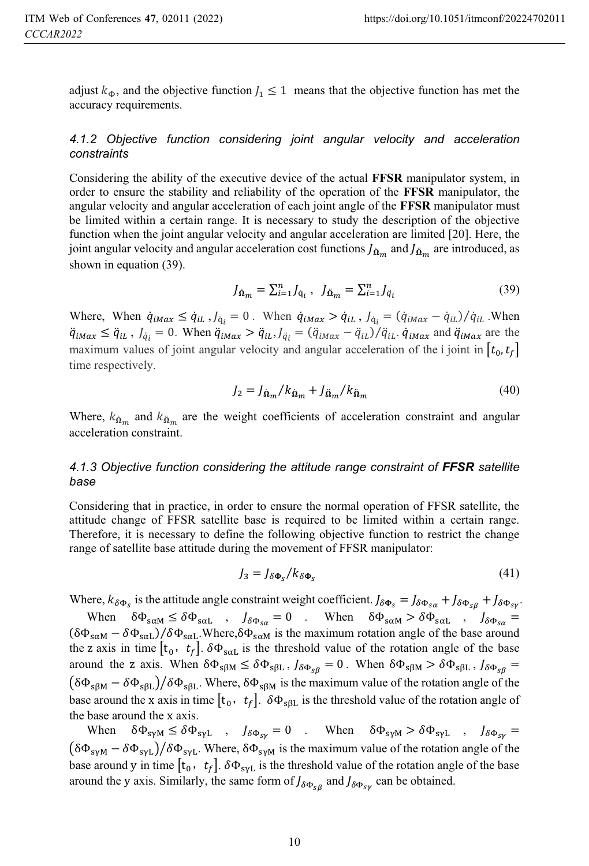adjust  $k_{\Phi}$ , and the objective function  $l_1 \leq 1$  means that the objective function has met the accuracy requirements.

#### *4.1.2 Objective function considering joint angular velocity and acceleration constraints*

Considering the ability of the executive device of the actual **FFSR** manipulator system, in order to ensure the stability and reliability of the operation of the **FFSR** manipulator, the angular velocity and angular acceleration of each joint angle of the **FFSR** manipulator must be limited within a certain range. It is necessary to study the description of the objective function when the joint angular velocity and angular acceleration are limited [20]. Here, the joint angular velocity and angular acceleration cost functions  $J_{\hat{\mathbf{n}}_m}$  and  $J_{\hat{\mathbf{n}}_m}$  are introduced, as shown in equation (39).

$$
J_{\dot{\mathbf{\Omega}}_{m}} = \sum_{i=1}^{n} J_{\dot{\mathbf{\mathbf{q}}}_{i}}, \quad J_{\ddot{\mathbf{\Omega}}_{m}} = \sum_{i=1}^{n} J_{\ddot{\mathbf{\mathbf{q}}}_{i}} \tag{39}
$$

Where, When  $\dot{q}_{iMax} \leq \dot{q}_{iL}$ ,  $J_{\dot{q}_i} = 0$ . When  $\dot{q}_{iMax} > \dot{q}_{iL}$ ,  $J_{\dot{q}_i} = (\dot{q}_{iMax} - \dot{q}_{iL})/\dot{q}_{iL}$ . When 1 ľ ľ ľ  $\ddot{q}_{iMax} \leq \ddot{q}_{iL}$ ,  $J_{\ddot{q}_i} = 0$ . When  $\ddot{q}_{iMax} > \ddot{q}_{iL}$ ,  $J_{\ddot{q}_i} = (\ddot{q}_{iMax} - \ddot{q}_{iL})/\ddot{q}_{iL}$ .  $\dot{q}_{iMax}$  and  $\ddot{q}_{iMax}$  are the י<br>ו ;  $\ddot{\phantom{0}}$ , ; maximum values of joint angular velocity and angular acceleration of the i joint in  $[t_0, t_f]$ time respectively.

$$
J_2 = J_{\dot{\Omega}_m} / k_{\dot{\Omega}_m} + J_{\ddot{\Omega}_m} / k_{\ddot{\Omega}_m}
$$
\n<sup>(40)</sup>

Where,  $k_{\hat{\Omega}_m}$  and  $k_{\hat{\Omega}_m}$  are the weight coefficients of acceleration constraint and angular acceleration constraint.

#### *4.1.3 Objective function considering the attitude range constraint of FFSR satellite base*

Considering that in practice, in order to ensure the normal operation of FFSR satellite, the attitude change of FFSR satellite base is required to be limited within a certain range. Therefore, it is necessary to define the following objective function to restrict the change range of satellite base attitude during the movement of FFSR manipulator:

$$
J_3 = J_{\delta \Phi_S} / k_{\delta \Phi_S} \tag{41}
$$

Where,  $k_{\delta\Phi_s}$  is the attitude angle constraint weight coefficient.  $J_{\delta\Phi_s} = J_{\delta\Phi_{sg}} + J_{\delta\Phi_{sg}} + J_{\delta\Phi_{sg}}$ 

When  $\delta\Phi_{\text{scM}} \leq \delta\Phi_{\text{scL}}$ ,  $J_{\delta\Phi_{\text{sc}}} = 0$ . When  $\delta\Phi_{\text{scM}} > \delta\Phi_{\text{scL}}$ ,  $J_{\delta\Phi_{\text{sc}}} =$  $(\delta\Phi_{\text{scM}} - \delta\Phi_{\text{scL}})/\delta\Phi_{\text{scL}}$ . Where,  $\delta\Phi_{\text{scM}}$  is the maximum rotation angle of the base around the z axis in time  $[t_0, t_f]$ .  $\delta \Phi_{\text{sat}}$  is the threshold value of the rotation angle of the base around the z axis. When  $\delta\Phi_{s\beta M} \leq \delta\Phi_{s\beta L}$ ,  $J_{\delta\Phi_{s\beta}} = 0$ . When  $\delta\Phi_{s\beta M} > \delta\Phi_{s\beta L}$ ,  $J_{\delta\Phi_{s\beta}} =$  $(\delta \Phi_{s\beta M} - \delta \Phi_{s\beta L})/\delta \Phi_{s\beta L}$ . Where,  $\delta \Phi_{s\beta M}$  is the maximum value of the rotation angle of the base around the x axis in time  $[t_0, t_f]$ .  $\delta \Phi_{\text{SBL}}$  is the threshold value of the rotation angle of the base around the x axis.

When  $\delta \Phi_{s \gamma M} \leq \delta \Phi_{s \gamma L}$ ,  $J_{\delta \Phi_{s \gamma}} = 0$ . When  $\delta \Phi_{s \gamma M} > \delta \Phi_{s \gamma L}$ ,  $J_{\delta \Phi_{s \gamma}} =$  $(\delta \Phi_{s y M} - \delta \Phi_{s y L})/\delta \Phi_{s y L}$ . Where,  $\delta \Phi_{s y M}$  is the maximum value of the rotation angle of the base around y in time  $[t_0, t_f]$ .  $\delta \Phi_{syl}$  is the threshold value of the rotation angle of the base around the y axis. Similarly, the same form of  $J_{\delta\Phi_{\rm sg}}$  and  $J_{\delta\Phi_{\rm sy}}$  can be obtained.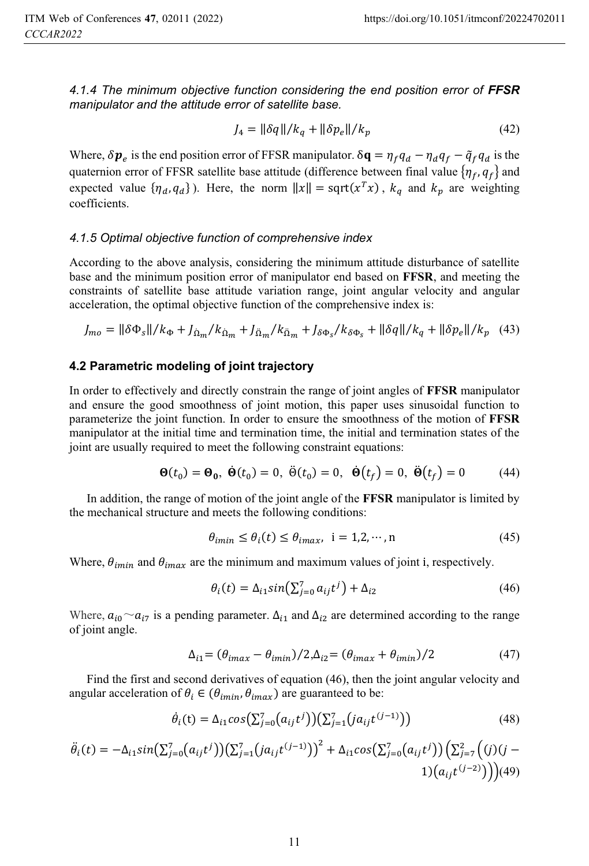*4.1.4 The minimum objective function considering the end position error of FFSR manipulator and the attitude error of satellite base.* 

$$
J_4 = \|\delta q\| / k_q + \|\delta p_e\| / k_p \tag{42}
$$

Where,  $\delta p_e$  is the end position error of FFSR manipulator.  $\delta \mathbf{q} = \eta_f q_d - \eta_d q_f - \tilde{q}_f q_d$  is the quaternion error of FFSR satellite base attitude (difference between final value  $\{\eta_f, q_f\}$  and expected value  $\{\eta_d, q_d\}$ ). Here, the norm  $||x|| = \text{sqrt}(x^T x)$ ,  $k_q$  and  $k_p$  are weighting coefficients.

#### *4.1.5 Optimal objective function of comprehensive index*

According to the above analysis, considering the minimum attitude disturbance of satellite base and the minimum position error of manipulator end based on **FFSR**, and meeting the constraints of satellite base attitude variation range, joint angular velocity and angular acceleration, the optimal objective function of the comprehensive index is:

$$
J_{mo} = \|\delta\Phi_s\|/k_{\Phi} + J_{\dot{\Omega}_m}/k_{\dot{\Omega}_m} + J_{\ddot{\Omega}_m}/k_{\ddot{\Omega}_m} + J_{\delta\Phi_s}/k_{\delta\Phi_s} + \|\delta q\|/k_q + \|\delta p_e\|/k_p \eqno(43)
$$

#### **4.2 Parametric modeling of joint trajectory**

In order to effectively and directly constrain the range of joint angles of **FFSR** manipulator and ensure the good smoothness of joint motion, this paper uses sinusoidal function to parameterize the joint function. In order to ensure the smoothness of the motion of **FFSR** manipulator at the initial time and termination time, the initial and termination states of the joint are usually required to meet the following constraint equations:

$$
\mathbf{\Theta}(t_0) = \mathbf{\Theta_0}, \ \dot{\mathbf{\Theta}}(t_0) = 0, \ \ddot{\Theta}(t_0) = 0, \ \dot{\mathbf{\Theta}}(t_f) = 0, \ \ddot{\mathbf{\Theta}}(t_f) = 0 \tag{44}
$$

In addition, the range of motion of the joint angle of the **FFSR** manipulator is limited by the mechanical structure and meets the following conditions:

$$
\theta_{i\min} \le \theta_i(t) \le \theta_{i\max}, \ \ i = 1, 2, \cdots, n \tag{45}
$$

Where,  $\theta_{imin}$  and  $\theta_{imax}$  are the minimum and maximum values of joint i, respectively.

$$
\theta_i(t) = \Delta_{i1} sin(\sum_{j=0}^{7} a_{ij} t^j) + \Delta_{i2}
$$
\n(46)

Where,  $a_{i0} \sim a_{i7}$  is a pending parameter.  $\Delta_{i1}$  and  $\Delta_{i2}$  are determined according to the range of joint angle.

$$
\Delta_{i1} = (\theta_{imax} - \theta_{imin})/2, \Delta_{i2} = (\theta_{imax} + \theta_{imin})/2
$$
\n(47)

Find the first and second derivatives of equation (46), then the joint angular velocity and angular acceleration of  $\theta_i \in (\theta_{imin}, \theta_{imax})$  are guaranteed to be:

$$
\dot{\theta}_i(t) = \Delta_{i1} \cos(\sum_{j=0}^{7} (a_{ij}t^j)) (\sum_{j=1}^{7} (ja_{ij}t^{(j-1)}))
$$
\n(48)

$$
\ddot{\theta}_{i}(t) = -\Delta_{i1} sin(\sum_{j=0}^{7} (a_{ij}t^{j})) (\sum_{j=1}^{7} (ja_{ij}t^{(j-1)}))^2 + \Delta_{i1} cos(\sum_{j=0}^{7} (a_{ij}t^{j})) (\sum_{j=7}^{2} ((j)(j-1)(a_{ij}t^{(j-2)})))
$$
(49)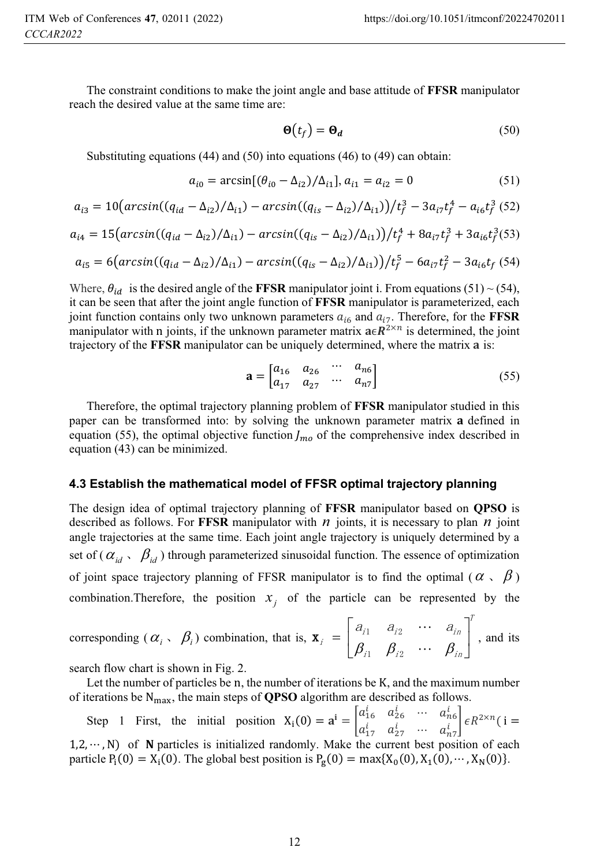The constraint conditions to make the joint angle and base attitude of **FFSR** manipulator reach the desired value at the same time are:

$$
\mathbf{\Theta}(t_f) = \mathbf{\Theta}_d \tag{50}
$$

Substituting equations (44) and (50) into equations (46) to (49) can obtain:

$$
a_{i0} = \arcsin[(\theta_{i0} - \Delta_{i2})/\Delta_{i1}], a_{i1} = a_{i2} = 0
$$
\n(51)

$$
a_{i3} = 10\left(\arcsin((q_{id} - \Delta_{i2})/\Delta_{i1}) - \arcsin((q_{is} - \Delta_{i2})/\Delta_{i1})\right) / t_f^3 - 3a_{i7}t_f^4 - a_{i6}t_f^3 \tag{52}
$$

$$
a_{i4} = 15\left(\arcsin((q_{id} - \Delta_{i2})/\Delta_{i1}) - \arcsin((q_{is} - \Delta_{i2})/\Delta_{i1})\right)/t_f^4 + 8a_{i7}t_f^3 + 3a_{i6}t_f^3(53)
$$

$$
a_{i5} = 6\left(\arcsin((q_{id} - \Delta_{i2})/\Delta_{i1}) - \arcsin((q_{is} - \Delta_{i2})/\Delta_{i1})\right) / t_f^5 - 6a_{i7}t_f^2 - 3a_{i6}t_f \tag{54}
$$

Where,  $\theta_{id}$  is the desired angle of the **FFSR** manipulator joint i. From equations (51) ~ (54), it can be seen that after the joint angle function of **FFSR** manipulator is parameterized, each joint function contains only two unknown parameters  $a_{i6}$  and  $a_{i7}$ . Therefore, for the **FFSR** manipulator with n joints, if the unknown parameter matrix  $a \in \mathbb{R}^{2 \times n}$  is determined, the joint trajectory of the **FFSR** manipulator can be uniquely determined, where the matrix a is:

$$
\mathbf{a} = \begin{bmatrix} a_{16} & a_{26} & \cdots & a_{n6} \\ a_{17} & a_{27} & \cdots & a_{n7} \end{bmatrix}
$$
 (55)

Therefore, the optimal trajectory planning problem of **FFSR** manipulator studied in this paper can be transformed into: by solving the unknown parameter matrix **a** defined in equation (55), the optimal objective function  $J_{m\rho}$  of the comprehensive index described in equation (43) can be minimized.

#### **4.3 Establish the mathematical model of FFSR optimal trajectory planning**

The design idea of optimal trajectory planning of **FFSR** manipulator based on **QPSO** is described as follows. For **FFSR** manipulator with  $n$  joints, it is necessary to plan  $n$  joint angle trajectories at the same time. Each joint angle trajectory is uniquely determined by a set of  $(\alpha_{id}, \beta_{id})$  through parameterized sinusoidal function. The essence of optimization of joint space trajectory planning of FFSR manipulator is to find the optimal ( $\alpha \in \beta$ ) combination. Therefore, the position  $x_i$  of the particle can be represented by the

corresponding 
$$
(\alpha_i, \beta_i)
$$
 combination, that is,  $\mathbf{x}_i = \begin{bmatrix} a_{i1} & a_{i2} & \cdots & a_{in} \\ \beta_{i1} & \beta_{i2} & \cdots & \beta_{in} \end{bmatrix}^T$ , and its

search flow chart is shown in Fig. 2.

Let the number of particles be n, the number of iterations be K, and the maximum number of iterations be N<sub>max</sub>, the main steps of **QPSO** algorithm are described as follows.

Step 1 First, the initial position  $X_i(0) = a^i = \begin{bmatrix} a_{16}^i & a_{26}^i & \cdots & a_{16}^i \\ a_{26}^i & a_{26}^i & \cdots & a_{16}^i \end{bmatrix}$  $\begin{bmatrix} a_{16} & a_{26} & \cdots & a_{n6} \\ a_{17}^i & a_{27}^i & \cdots & a_{n7}^i \end{bmatrix} \epsilon R^{2 \times n}$  (**i** =  $1,2,\dots, N$  of N particles is initialized randomly. Make the current best position of each particle  $P_1(0) = X_1(0)$ . The global best position is  $P_g(0) = \max\{X_0(0), X_1(0), \dots, X_N(0)\}.$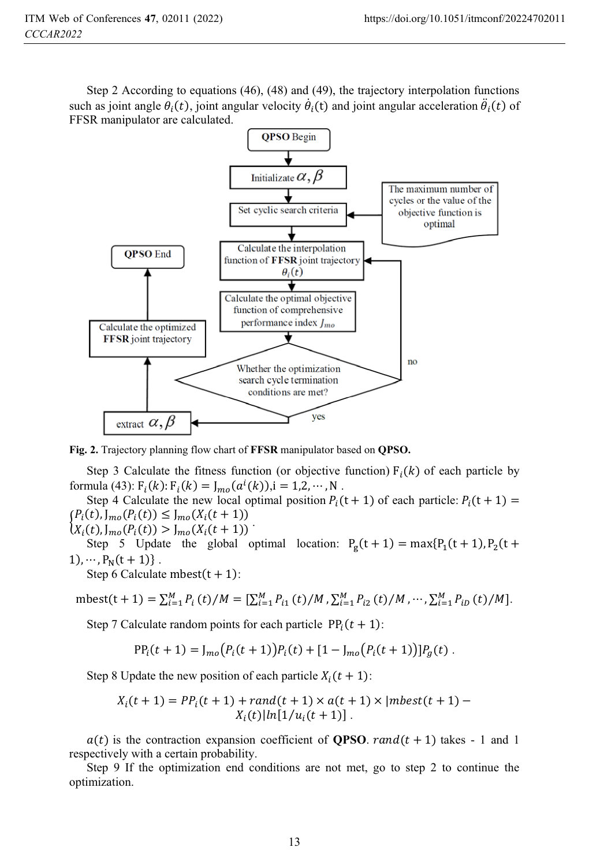Step 2 According to equations (46), (48) and (49), the trajectory interpolation functions such as joint angle  $\theta_i(t)$ , joint angular velocity  $\dot{\theta}_i(t)$  and joint angular acceleration  $\ddot{\theta}_i(t)$  of FFSR manipulator are calculated.



**Fig. 2.** Trajectory planning flow chart of **FFSR** manipulator based on **QPSO.**

Step 3 Calculate the fitness function (or objective function)  $F_i(k)$  of each particle by formula (43):  $F_i(k)$ :  $F_i(k) = J_{mo}(a^i(k))$ , i = 1,2, ···, N.

Step 4 Calculate the new local optimal position  $P_i(t + 1)$  of each particle:  $P_i(t + 1)$  =  $(P_i(t), J_{mo}(P_i(t))) \leq J_{mo}(X_i(t + 1))$ 

 $X_i(t), J_{mo}(P_i(t)) > J_{mo}(X_i(t+1))$ 

Step 5 Update the global optimal location:  $P_g(t+1) = max{P_1(t+1), P_2(t+1)}$  $1), \cdots, P_N(t+1) \}$ .

Step 6 Calculate mbest $(t + 1)$ :

$$
\text{mbest}(t+1) = \sum_{i=1}^{M} P_i(t)/M = [\sum_{i=1}^{M} P_{i1}(t)/M, \sum_{i=1}^{M} P_{i2}(t)/M, \cdots, \sum_{i=1}^{M} P_{iD}(t)/M].
$$

Step 7 Calculate random points for each particle  $PP_i(t + 1)$ :

$$
PP_i(t + 1) = J_{mo}(P_i(t + 1))P_i(t) + [1 - J_{mo}(P_i(t + 1))]P_g(t).
$$

Step 8 Update the new position of each particle  $X_i(t + 1)$ :

$$
X_i(t + 1) = PP_i(t + 1) + rand(t + 1) \times a(t + 1) \times |mbest(t + 1) - X_i(t)|ln[1/u_i(t + 1)].
$$

 $a(t)$  is the contraction expansion coefficient of **QPSO**. rand  $(t + 1)$  takes - 1 and 1 respectively with a certain probability.

Step 9 If the optimization end conditions are not met, go to step 2 to continue the optimization.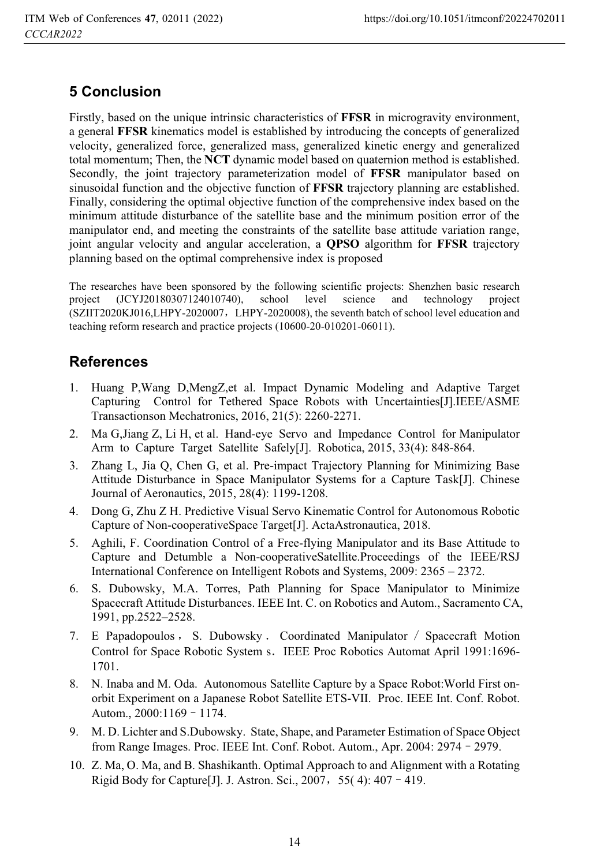# **5 Conclusion**

Firstly, based on the unique intrinsic characteristics of **FFSR** in microgravity environment, a general **FFSR** kinematics model is established by introducing the concepts of generalized velocity, generalized force, generalized mass, generalized kinetic energy and generalized total momentum; Then, the **NCT** dynamic model based on quaternion method is established. Secondly, the joint trajectory parameterization model of **FFSR** manipulator based on sinusoidal function and the objective function of **FFSR** trajectory planning are established. Finally, considering the optimal objective function of the comprehensive index based on the minimum attitude disturbance of the satellite base and the minimum position error of the manipulator end, and meeting the constraints of the satellite base attitude variation range, joint angular velocity and angular acceleration, a **QPSO** algorithm for **FFSR** trajectory planning based on the optimal comprehensive index is proposed

The researches have been sponsored by the following scientific projects: Shenzhen basic research<br>project (JCYJ20180307124010740), school level science and technology project project (JCYJ20180307124010740), school level science and technology project (SZIIT2020KJ016,LHPY-2020007ˈLHPY-2020008), the seventh batch of school level education and teaching reform research and practice projects (10600-20-010201-06011).

## **References**

- 1. Huang P,Wang D,MengZ,et al. Impact Dynamic Modeling and Adaptive Target Capturing Control for Tethered Space Robots with Uncertainties[J].IEEE/ASME Transactionson Mechatronics, 2016, 21(5): 2260-2271.
- 2. Ma G,Jiang Z, Li H, et al. Hand-eye Servo and Impedance Control for Manipulator Arm to Capture Target Satellite Safely[J]. Robotica, 2015, 33(4): 848-864.
- 3. Zhang L, Jia Q, Chen G, et al. Pre-impact Trajectory Planning for Minimizing Base Attitude Disturbance in Space Manipulator Systems for a Capture Task[J]. Chinese Journal of Aeronautics, 2015, 28(4): 1199-1208.
- 4. Dong G, Zhu Z H. Predictive Visual Servo Kinematic Control for Autonomous Robotic Capture of Non-cooperativeSpace Target[J]. ActaAstronautica, 2018.
- 5. Aghili, F. Coordination Control of a Free-flying Manipulator and its Base Attitude to Capture and Detumble a Non-cooperativeSatellite.Proceedings of the IEEE/RSJ International Conference on Intelligent Robots and Systems, 2009: 2365 – 2372.
- 6. S. Dubowsky, M.A. Torres, Path Planning for Space Manipulator to Minimize Spacecraft Attitude Disturbances. IEEE Int. C. on Robotics and Autom., Sacramento CA, 1991, pp.2522–2528.
- 7. E Papadopoulos, S. Dubowsky . Coordinated Manipulator / Spacecraft Motion Control for Space Robotic System s. IEEE Proc Robotics Automat April 1991:1696-1701.
- 8. N. Inaba and M. Oda. Autonomous Satellite Capture by a Space Robot:World First onorbit Experiment on a Japanese Robot Satellite ETS-VII. Proc. IEEE Int. Conf. Robot. Autom., 2000:1169 - 1174.
- 9. M. D. Lichter and S.Dubowsky. State, Shape, and Parameter Estimation of Space Object from Range Images. Proc. IEEE Int. Conf. Robot. Autom., Apr. 2004: 2974 - 2979.
- 10. Z. Ma, O. Ma, and B. Shashikanth. Optimal Approach to and Alignment with a Rotating Rigid Body for Capture<sup>[J]</sup>. J. Astron. Sci., 2007, 55(4):  $407 - 419$ .